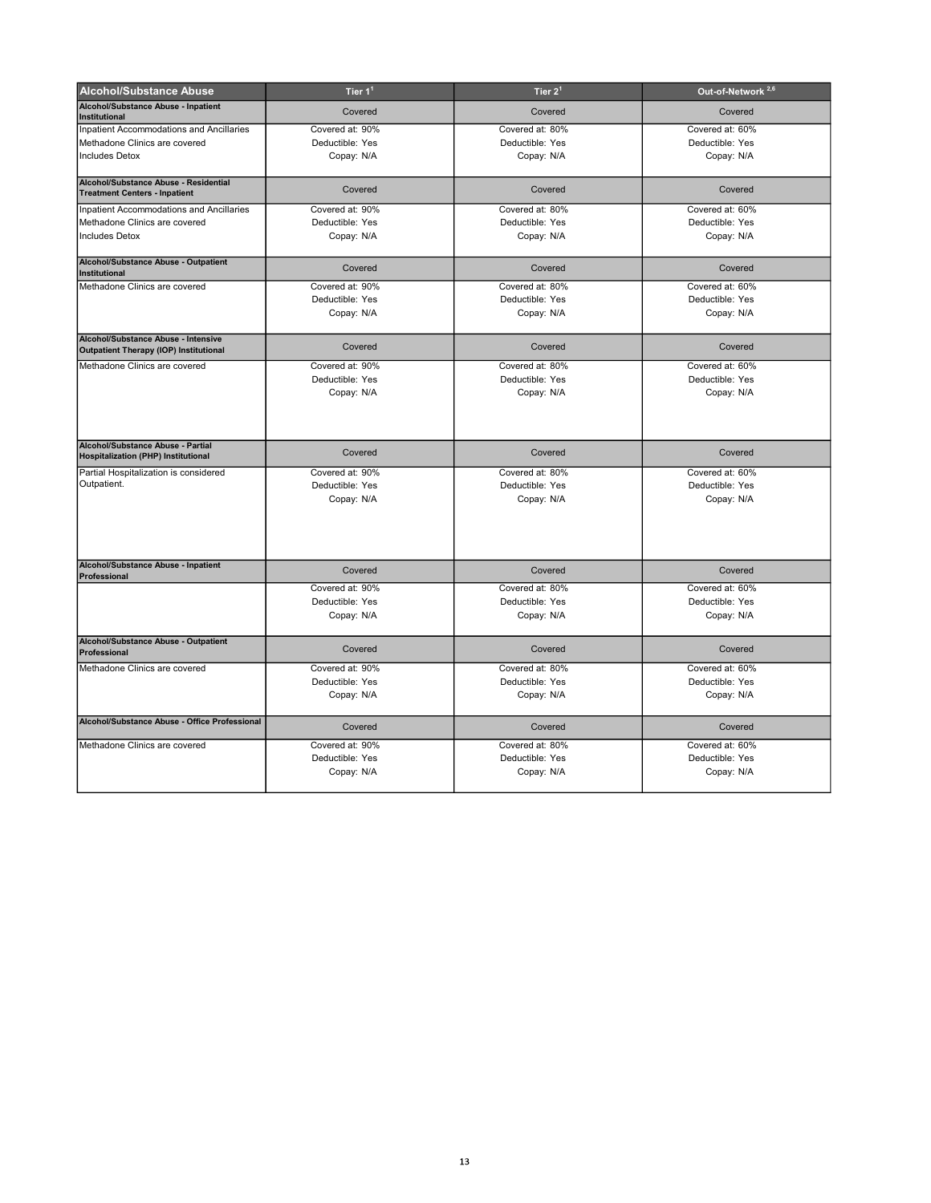| <b>Alcohol/Substance Abuse</b>                                                       | Tier $11$       | Tier $2^1$      | Out-of-Network <sup>2,6</sup> |
|--------------------------------------------------------------------------------------|-----------------|-----------------|-------------------------------|
| Alcohol/Substance Abuse - Inpatient<br><b>Institutional</b>                          | Covered         | Covered         | Covered                       |
| Inpatient Accommodations and Ancillaries                                             | Covered at: 90% | Covered at: 80% | Covered at: 60%               |
| Methadone Clinics are covered                                                        | Deductible: Yes | Deductible: Yes | Deductible: Yes               |
| <b>Includes Detox</b>                                                                | Copay: N/A      | Copay: N/A      | Copay: N/A                    |
| Alcohol/Substance Abuse - Residential<br><b>Treatment Centers - Inpatient</b>        | Covered         | Covered         | Covered                       |
| Inpatient Accommodations and Ancillaries                                             | Covered at: 90% | Covered at: 80% | Covered at: 60%               |
| Methadone Clinics are covered                                                        | Deductible: Yes | Deductible: Yes | Deductible: Yes               |
| <b>Includes Detox</b>                                                                | Copay: N/A      | Copay: N/A      | Copay: N/A                    |
|                                                                                      |                 |                 |                               |
| Alcohol/Substance Abuse - Outpatient<br><b>Institutional</b>                         | Covered         | Covered         | Covered                       |
| Methadone Clinics are covered                                                        | Covered at: 90% | Covered at: 80% | Covered at: 60%               |
|                                                                                      | Deductible: Yes | Deductible: Yes | Deductible: Yes               |
|                                                                                      | Copay: N/A      | Copay: N/A      | Copay: N/A                    |
| Alcohol/Substance Abuse - Intensive<br><b>Outpatient Therapy (IOP) Institutional</b> | Covered         | Covered         | Covered                       |
| Methadone Clinics are covered                                                        | Covered at: 90% | Covered at: 80% | Covered at: 60%               |
|                                                                                      | Deductible: Yes | Deductible: Yes | Deductible: Yes               |
|                                                                                      | Copay: N/A      | Copay: N/A      | Copay: N/A                    |
|                                                                                      |                 |                 |                               |
| Alcohol/Substance Abuse - Partial<br><b>Hospitalization (PHP) Institutional</b>      | Covered         | Covered         | Covered                       |
| Partial Hospitalization is considered                                                | Covered at: 90% | Covered at: 80% | Covered at: 60%               |
| Outpatient.                                                                          | Deductible: Yes | Deductible: Yes | Deductible: Yes               |
|                                                                                      | Copay: N/A      | Copay: N/A      | Copay: N/A                    |
|                                                                                      |                 |                 |                               |
|                                                                                      |                 |                 |                               |
| Alcohol/Substance Abuse - Inpatient<br>Professional                                  | Covered         | Covered         | Covered                       |
|                                                                                      | Covered at: 90% | Covered at: 80% | Covered at: 60%               |
|                                                                                      | Deductible: Yes | Deductible: Yes | Deductible: Yes               |
|                                                                                      | Copay: N/A      | Copay: N/A      | Copay: N/A                    |
| Alcohol/Substance Abuse - Outpatient<br>Professional                                 | Covered         | Covered         | Covered                       |
| Methadone Clinics are covered                                                        | Covered at: 90% | Covered at: 80% | Covered at: 60%               |
|                                                                                      | Deductible: Yes | Deductible: Yes | Deductible: Yes               |
|                                                                                      | Copay: N/A      | Copay: N/A      | Copay: N/A                    |
| Alcohol/Substance Abuse - Office Professional                                        | Covered         | Covered         | Covered                       |
| Methadone Clinics are covered                                                        | Covered at: 90% | Covered at: 80% | Covered at: 60%               |
|                                                                                      | Deductible: Yes | Deductible: Yes | Deductible: Yes               |
|                                                                                      | Copay: N/A      | Copay: N/A      | Copay: N/A                    |
|                                                                                      |                 |                 |                               |